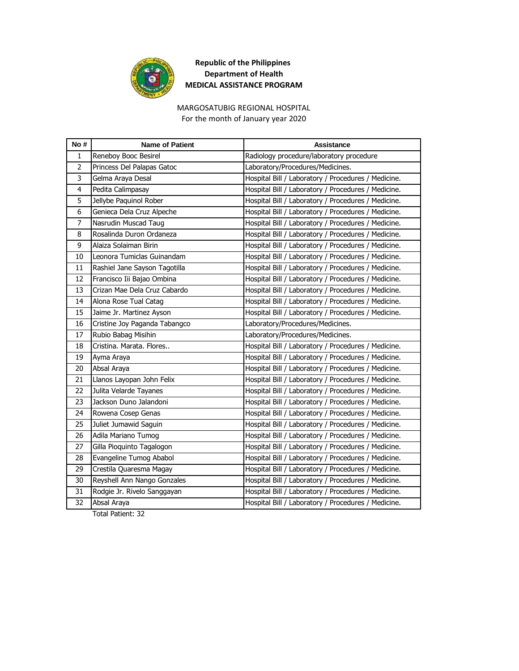

# MARGOSATUBIG REGIONAL HOSPITAL

For the month of January year 2020

| No#            | <b>Name of Patient</b>        | <b>Assistance</b>                                   |
|----------------|-------------------------------|-----------------------------------------------------|
| 1              | Reneboy Booc Besirel          | Radiology procedure/laboratory procedure            |
| $\overline{2}$ | Princess Del Palapas Gatoc    | Laboratory/Procedures/Medicines.                    |
| 3              | Gelma Araya Desal             | Hospital Bill / Laboratory / Procedures / Medicine. |
| $\overline{4}$ | Pedita Calimpasay             | Hospital Bill / Laboratory / Procedures / Medicine. |
| 5              | Jellybe Paquinol Rober        | Hospital Bill / Laboratory / Procedures / Medicine. |
| 6              | Genieca Dela Cruz Alpeche     | Hospital Bill / Laboratory / Procedures / Medicine. |
| $\overline{7}$ | Nasrudin Muscad Taug          | Hospital Bill / Laboratory / Procedures / Medicine. |
| 8              | Rosalinda Duron Ordaneza      | Hospital Bill / Laboratory / Procedures / Medicine. |
| 9              | Alaiza Solaiman Birin         | Hospital Bill / Laboratory / Procedures / Medicine. |
| 10             | Leonora Tumiclas Guinandam    | Hospital Bill / Laboratory / Procedures / Medicine. |
| 11             | Rashiel Jane Sayson Tagotilla | Hospital Bill / Laboratory / Procedures / Medicine. |
| 12             | Francisco Iii Bajao Ombina    | Hospital Bill / Laboratory / Procedures / Medicine. |
| 13             | Crizan Mae Dela Cruz Cabardo  | Hospital Bill / Laboratory / Procedures / Medicine. |
| 14             | Alona Rose Tual Catag         | Hospital Bill / Laboratory / Procedures / Medicine. |
| 15             | Jaime Jr. Martinez Ayson      | Hospital Bill / Laboratory / Procedures / Medicine. |
| 16             | Cristine Joy Paganda Tabangco | Laboratory/Procedures/Medicines.                    |
| 17             | Rubio Babag Misihin           | Laboratory/Procedures/Medicines.                    |
| 18             | Cristina. Marata. Flores      | Hospital Bill / Laboratory / Procedures / Medicine. |
| 19             | Ayma Araya                    | Hospital Bill / Laboratory / Procedures / Medicine. |
| 20             | Absal Araya                   | Hospital Bill / Laboratory / Procedures / Medicine. |
| 21             | Llanos Layopan John Felix     | Hospital Bill / Laboratory / Procedures / Medicine. |
| 22             | Julita Velarde Tayanes        | Hospital Bill / Laboratory / Procedures / Medicine. |
| 23             | Jackson Duno Jalandoni        | Hospital Bill / Laboratory / Procedures / Medicine. |
| 24             | Rowena Cosep Genas            | Hospital Bill / Laboratory / Procedures / Medicine. |
| 25             | Juliet Jumawid Saguin         | Hospital Bill / Laboratory / Procedures / Medicine. |
| 26             | Adila Mariano Tumog           | Hospital Bill / Laboratory / Procedures / Medicine. |
| 27             | Gilla Pioquinto Tagalogon     | Hospital Bill / Laboratory / Procedures / Medicine. |
| 28             | Evangeline Tumog Ababol       | Hospital Bill / Laboratory / Procedures / Medicine. |
| 29             | Crestila Quaresma Magay       | Hospital Bill / Laboratory / Procedures / Medicine. |
| 30             | Reyshell Ann Nango Gonzales   | Hospital Bill / Laboratory / Procedures / Medicine. |
| 31             | Rodgie Jr. Rivelo Sanggayan   | Hospital Bill / Laboratory / Procedures / Medicine. |
| 32             | Absal Araya                   | Hospital Bill / Laboratory / Procedures / Medicine. |

Total Patient: 32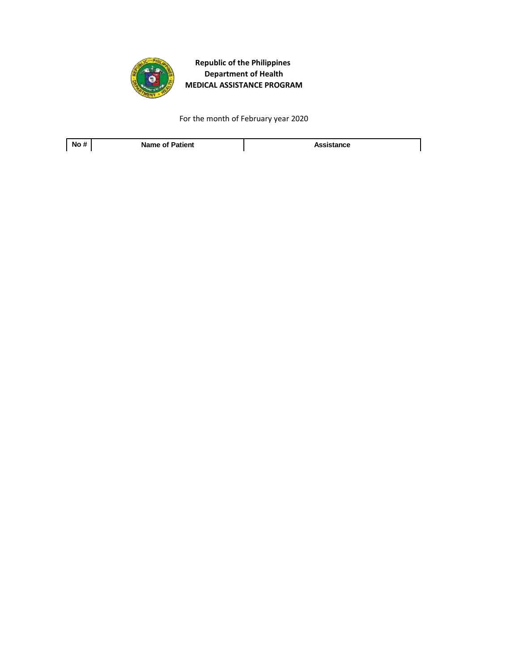

For the month of February year 2020

**No # Name of Patient Assistance**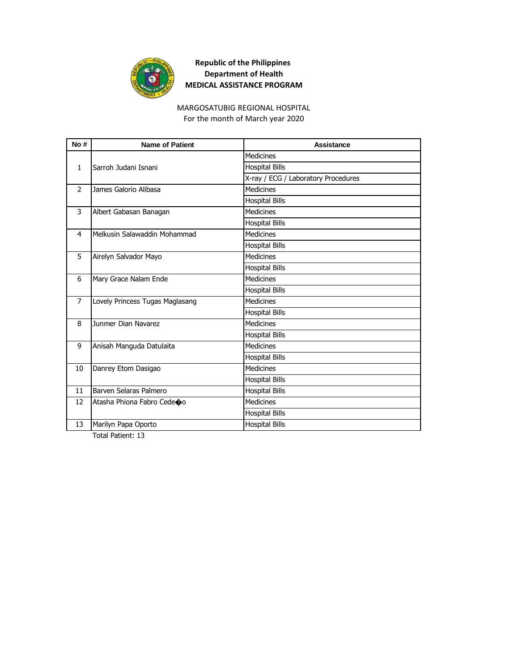

#### MARGOSATUBIG REGIONAL HOSPITAL

For the month of March year 2020

| No#            | <b>Name of Patient</b>          | Assistance                          |
|----------------|---------------------------------|-------------------------------------|
|                |                                 | <b>Medicines</b>                    |
| $\mathbf{1}$   | Sarroh Judani Isnani            | <b>Hospital Bills</b>               |
|                |                                 | X-ray / ECG / Laboratory Procedures |
| $\mathcal{P}$  | James Galorio Alibasa           | <b>Medicines</b>                    |
|                |                                 | <b>Hospital Bills</b>               |
| 3              | Albert Gabasan Banagan          | <b>Medicines</b>                    |
|                |                                 | <b>Hospital Bills</b>               |
| 4              | Melkusin Salawaddin Mohammad    | <b>Medicines</b>                    |
|                |                                 | <b>Hospital Bills</b>               |
| 5              | Airelyn Salvador Mayo           | <b>Medicines</b>                    |
|                |                                 | <b>Hospital Bills</b>               |
| 6              | Mary Grace Nalam Ende           | <b>Medicines</b>                    |
|                |                                 | <b>Hospital Bills</b>               |
| $\overline{7}$ | Lovely Princess Tugas Maglasang | <b>Medicines</b>                    |
|                |                                 | <b>Hospital Bills</b>               |
| 8              | Junmer Dian Navarez             | <b>Medicines</b>                    |
|                |                                 | <b>Hospital Bills</b>               |
| 9              | Anisah Manguda Datulaita        | <b>Medicines</b>                    |
|                |                                 | <b>Hospital Bills</b>               |
| 10             | Danrey Etom Dasigao             | <b>Medicines</b>                    |
|                |                                 | <b>Hospital Bills</b>               |
| 11             | Barven Selaras Palmero          | <b>Hospital Bills</b>               |
| 12             | Atasha Phiona Fabro Cedeoo      | <b>Medicines</b>                    |
|                |                                 | <b>Hospital Bills</b>               |
| 13             | Marilyn Papa Oporto             | <b>Hospital Bills</b>               |

Total Patient: 13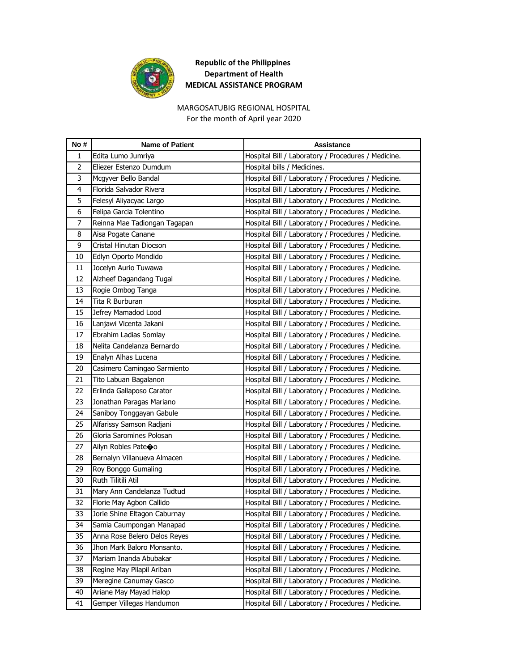

#### MARGOSATUBIG REGIONAL HOSPITAL

For the month of April year 2020

| No#            | <b>Name of Patient</b>         | Assistance                                          |
|----------------|--------------------------------|-----------------------------------------------------|
| 1              | Edita Lumo Jumriya             | Hospital Bill / Laboratory / Procedures / Medicine. |
| $\overline{2}$ | Eliezer Estenzo Dumdum         | Hospital bills / Medicines.                         |
| 3              | Mcgyver Bello Bandal           | Hospital Bill / Laboratory / Procedures / Medicine. |
| 4              | Florida Salvador Rivera        | Hospital Bill / Laboratory / Procedures / Medicine. |
| 5              | Felesyl Aliyacyac Largo        | Hospital Bill / Laboratory / Procedures / Medicine. |
| 6              | Felipa Garcia Tolentino        | Hospital Bill / Laboratory / Procedures / Medicine. |
| 7              | Reinna Mae Tadiongan Tagapan   | Hospital Bill / Laboratory / Procedures / Medicine. |
| 8              | Aisa Pogate Canane             | Hospital Bill / Laboratory / Procedures / Medicine. |
| 9              | Cristal Hinutan Diocson        | Hospital Bill / Laboratory / Procedures / Medicine. |
| 10             | Edlyn Oporto Mondido           | Hospital Bill / Laboratory / Procedures / Medicine. |
| 11             | Jocelyn Aurio Tuwawa           | Hospital Bill / Laboratory / Procedures / Medicine. |
| 12             | Alzheef Dagandang Tugal        | Hospital Bill / Laboratory / Procedures / Medicine. |
| 13             | Rogie Ombog Tanga              | Hospital Bill / Laboratory / Procedures / Medicine. |
| 14             | Tita R Burburan                | Hospital Bill / Laboratory / Procedures / Medicine. |
| 15             | Jefrey Mamadod Lood            | Hospital Bill / Laboratory / Procedures / Medicine. |
| 16             | Lanjawi Vicenta Jakani         | Hospital Bill / Laboratory / Procedures / Medicine. |
| 17             | Ebrahim Ladias Somlay          | Hospital Bill / Laboratory / Procedures / Medicine. |
| 18             | Nelita Candelanza Bernardo     | Hospital Bill / Laboratory / Procedures / Medicine. |
| 19             | Enalyn Alhas Lucena            | Hospital Bill / Laboratory / Procedures / Medicine. |
| 20             | Casimero Camingao Sarmiento    | Hospital Bill / Laboratory / Procedures / Medicine. |
| 21             | Tito Labuan Bagalanon          | Hospital Bill / Laboratory / Procedures / Medicine. |
| 22             | Erlinda Gallaposo Carator      | Hospital Bill / Laboratory / Procedures / Medicine. |
| 23             | Jonathan Paragas Mariano       | Hospital Bill / Laboratory / Procedures / Medicine. |
| 24             | Saniboy Tonggayan Gabule       | Hospital Bill / Laboratory / Procedures / Medicine. |
| 25             | Alfarissy Samson Radjani       | Hospital Bill / Laboratory / Procedures / Medicine. |
| 26             | Gloria Saromines Polosan       | Hospital Bill / Laboratory / Procedures / Medicine. |
| 27             | Ailyn Robles Pate $\bigcirc$ o | Hospital Bill / Laboratory / Procedures / Medicine. |
| 28             | Bernalyn Villanueva Almacen    | Hospital Bill / Laboratory / Procedures / Medicine. |
| 29             | Roy Bonggo Gumaling            | Hospital Bill / Laboratory / Procedures / Medicine. |
| 30             | Ruth Tilitili Atil             | Hospital Bill / Laboratory / Procedures / Medicine. |
| 31             | Mary Ann Candelanza Tudtud     | Hospital Bill / Laboratory / Procedures / Medicine. |
| 32             | Florie May Agbon Callido       | Hospital Bill / Laboratory / Procedures / Medicine. |
| 33             | Jorie Shine Eltagon Caburnay   | Hospital Bill / Laboratory / Procedures / Medicine. |
| 34             | Samia Caumpongan Manapad       | Hospital Bill / Laboratory / Procedures / Medicine. |
| 35             | Anna Rose Belero Delos Reyes   | Hospital Bill / Laboratory / Procedures / Medicine. |
| 36             | Jhon Mark Baloro Monsanto.     | Hospital Bill / Laboratory / Procedures / Medicine. |
| 37             | Mariam Inanda Abubakar         | Hospital Bill / Laboratory / Procedures / Medicine. |
| 38             | Regine May Pilapil Ariban      | Hospital Bill / Laboratory / Procedures / Medicine. |
| 39             | Meregine Canumay Gasco         | Hospital Bill / Laboratory / Procedures / Medicine. |
| 40             | Ariane May Mayad Halop         | Hospital Bill / Laboratory / Procedures / Medicine. |
| 41             | Gemper Villegas Handumon       | Hospital Bill / Laboratory / Procedures / Medicine. |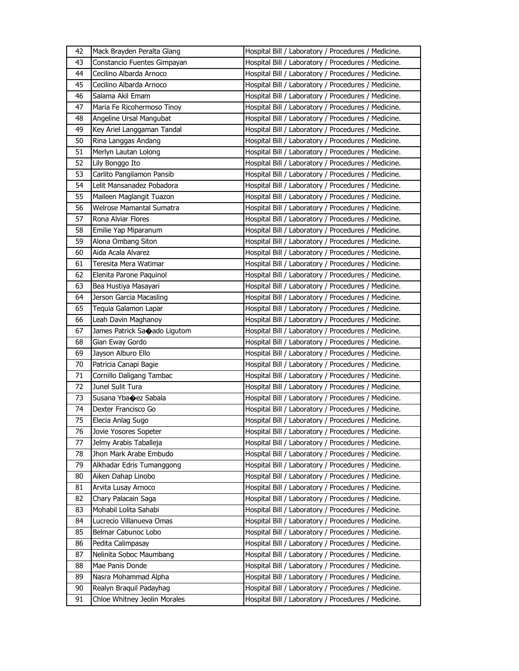| 42 | Mack Brayden Peralta Glang             | Hospital Bill / Laboratory / Procedures / Medicine. |
|----|----------------------------------------|-----------------------------------------------------|
| 43 | Constancio Fuentes Gimpayan            | Hospital Bill / Laboratory / Procedures / Medicine. |
| 44 | Cecilino Albarda Arnoco                | Hospital Bill / Laboratory / Procedures / Medicine. |
| 45 | Cecilino Albarda Arnoco                | Hospital Bill / Laboratory / Procedures / Medicine. |
| 46 | Salama Akil Emam                       | Hospital Bill / Laboratory / Procedures / Medicine. |
| 47 | Maria Fe Ricohermoso Tinoy             | Hospital Bill / Laboratory / Procedures / Medicine. |
| 48 | Angeline Ursal Mangubat                | Hospital Bill / Laboratory / Procedures / Medicine. |
| 49 | Key Ariel Langgaman Tandal             | Hospital Bill / Laboratory / Procedures / Medicine. |
| 50 | Rina Langgas Andang                    | Hospital Bill / Laboratory / Procedures / Medicine. |
| 51 | Merlyn Lautan Lolong                   | Hospital Bill / Laboratory / Procedures / Medicine. |
| 52 | Lily Bonggo Ito                        | Hospital Bill / Laboratory / Procedures / Medicine. |
| 53 | Carlito Pangilamon Pansib              | Hospital Bill / Laboratory / Procedures / Medicine. |
| 54 | Lelit Mansanadez Pobadora              | Hospital Bill / Laboratory / Procedures / Medicine. |
| 55 | Maileen Maglangit Tuazon               | Hospital Bill / Laboratory / Procedures / Medicine. |
| 56 | Welrose Mamantal Sumatra               | Hospital Bill / Laboratory / Procedures / Medicine. |
| 57 | Rona Alviar Flores                     | Hospital Bill / Laboratory / Procedures / Medicine. |
| 58 | Emilie Yap Miparanum                   | Hospital Bill / Laboratory / Procedures / Medicine. |
| 59 | Alona Ombang Siton                     | Hospital Bill / Laboratory / Procedures / Medicine. |
| 60 | Aida Acala Alvarez                     | Hospital Bill / Laboratory / Procedures / Medicine. |
| 61 | Teresita Mera Watimar                  | Hospital Bill / Laboratory / Procedures / Medicine. |
| 62 | Elenita Parone Paquinol                | Hospital Bill / Laboratory / Procedures / Medicine. |
| 63 | Bea Hustiya Masayari                   | Hospital Bill / Laboratory / Procedures / Medicine. |
| 64 | Jerson Garcia Macasling                | Hospital Bill / Laboratory / Procedures / Medicine. |
| 65 | Tequia Galamon Lapar                   | Hospital Bill / Laboratory / Procedures / Medicine. |
| 66 | Leah Davin Maghanoy                    | Hospital Bill / Laboratory / Procedures / Medicine. |
| 67 | James Patrick Sa $\bullet$ ado Ligutom | Hospital Bill / Laboratory / Procedures / Medicine. |
|    |                                        |                                                     |
|    |                                        |                                                     |
| 68 | Gian Eway Gordo                        | Hospital Bill / Laboratory / Procedures / Medicine. |
| 69 | Jayson Alburo Ello                     | Hospital Bill / Laboratory / Procedures / Medicine. |
| 70 | Patricia Canapi Bagie                  | Hospital Bill / Laboratory / Procedures / Medicine. |
| 71 | Cornillo Daligang Tambac               | Hospital Bill / Laboratory / Procedures / Medicine. |
| 72 | Junel Sulit Tura                       | Hospital Bill / Laboratory / Procedures / Medicine. |
| 73 | Susana Yba $\bigcirc$ ez Sabala        | Hospital Bill / Laboratory / Procedures / Medicine. |
| 74 | Dexter Francisco Go                    | Hospital Bill / Laboratory / Procedures / Medicine. |
| 75 | Elecia Anlag Sugo                      | Hospital Bill / Laboratory / Procedures / Medicine. |
| 76 | Jovie Yosores Sopeter                  | Hospital Bill / Laboratory / Procedures / Medicine. |
| 77 | Jelmy Arabis Taballeja                 | Hospital Bill / Laboratory / Procedures / Medicine. |
| 78 | Jhon Mark Arabe Embudo                 | Hospital Bill / Laboratory / Procedures / Medicine. |
| 79 | Alkhadar Edris Tumanggong              | Hospital Bill / Laboratory / Procedures / Medicine. |
| 80 | Aiken Dahap Linobo                     | Hospital Bill / Laboratory / Procedures / Medicine. |
| 81 | Arvita Lusay Arnoco                    | Hospital Bill / Laboratory / Procedures / Medicine. |
| 82 | Chary Palacain Saga                    | Hospital Bill / Laboratory / Procedures / Medicine. |
| 83 | Mohabil Lolita Sahabi                  | Hospital Bill / Laboratory / Procedures / Medicine. |
| 84 | Lucrecio Villanueva Omas               | Hospital Bill / Laboratory / Procedures / Medicine. |
| 85 | Belmar Cabunoc Lobo                    | Hospital Bill / Laboratory / Procedures / Medicine. |
| 86 | Pedita Calimpasay                      | Hospital Bill / Laboratory / Procedures / Medicine. |
| 87 | Nelinita Soboc Maumbang                | Hospital Bill / Laboratory / Procedures / Medicine. |
| 88 | Mae Panis Donde                        | Hospital Bill / Laboratory / Procedures / Medicine. |
| 89 | Nasra Mohammad Alpha                   | Hospital Bill / Laboratory / Procedures / Medicine. |
| 90 | Realyn Braquil Padayhag                | Hospital Bill / Laboratory / Procedures / Medicine. |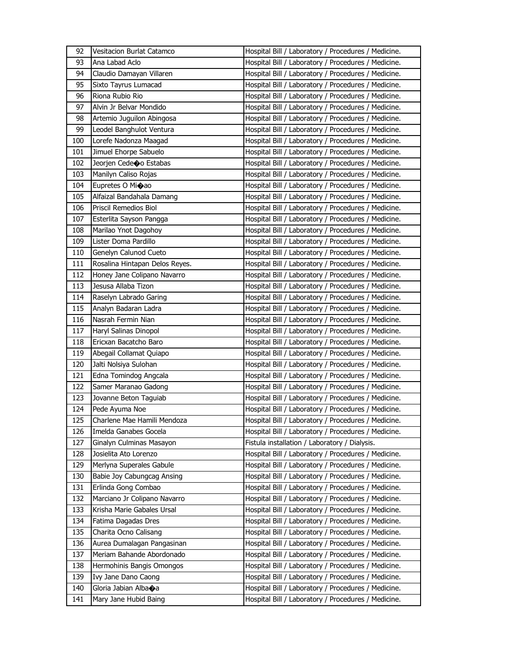| 92  | Vesitacion Burlat Catamco      | Hospital Bill / Laboratory / Procedures / Medicine. |
|-----|--------------------------------|-----------------------------------------------------|
| 93  | Ana Labad Aclo                 | Hospital Bill / Laboratory / Procedures / Medicine. |
| 94  | Claudio Damayan Villaren       | Hospital Bill / Laboratory / Procedures / Medicine. |
| 95  | Sixto Tayrus Lumacad           | Hospital Bill / Laboratory / Procedures / Medicine. |
| 96  | Riona Rubio Rio                | Hospital Bill / Laboratory / Procedures / Medicine. |
| 97  | Alvin Jr Belvar Mondido        | Hospital Bill / Laboratory / Procedures / Medicine. |
| 98  | Artemio Juguilon Abingosa      | Hospital Bill / Laboratory / Procedures / Medicine. |
| 99  | Leodel Banghulot Ventura       | Hospital Bill / Laboratory / Procedures / Medicine. |
| 100 | Lorefe Nadonza Maagad          | Hospital Bill / Laboratory / Procedures / Medicine. |
| 101 | Jimuel Ehorpe Sabuelo          | Hospital Bill / Laboratory / Procedures / Medicine. |
| 102 | Jeorjen Cedeoo Estabas         | Hospital Bill / Laboratory / Procedures / Medicine. |
| 103 | Manilyn Caliso Rojas           | Hospital Bill / Laboratory / Procedures / Medicine. |
| 104 | Eupretes O Mi�ao               | Hospital Bill / Laboratory / Procedures / Medicine. |
| 105 | Alfaizal Bandahala Damang      | Hospital Bill / Laboratory / Procedures / Medicine. |
| 106 | Priscil Remedios Biol          | Hospital Bill / Laboratory / Procedures / Medicine. |
| 107 | Esterlita Sayson Pangga        | Hospital Bill / Laboratory / Procedures / Medicine. |
| 108 | Marilao Ynot Dagohoy           | Hospital Bill / Laboratory / Procedures / Medicine. |
| 109 | Lister Doma Pardillo           | Hospital Bill / Laboratory / Procedures / Medicine. |
| 110 | Genelyn Calunod Cueto          | Hospital Bill / Laboratory / Procedures / Medicine. |
| 111 | Rosalina Hintapan Delos Reyes. | Hospital Bill / Laboratory / Procedures / Medicine. |
| 112 | Honey Jane Colipano Navarro    | Hospital Bill / Laboratory / Procedures / Medicine. |
| 113 | Jesusa Allaba Tizon            | Hospital Bill / Laboratory / Procedures / Medicine. |
| 114 | Raselyn Labrado Garing         | Hospital Bill / Laboratory / Procedures / Medicine. |
| 115 | Analyn Badaran Ladra           | Hospital Bill / Laboratory / Procedures / Medicine. |
| 116 | Nasrah Fermin Nian             | Hospital Bill / Laboratory / Procedures / Medicine. |
| 117 | Haryl Salinas Dinopol          | Hospital Bill / Laboratory / Procedures / Medicine. |
| 118 | Ericxan Bacatcho Baro          | Hospital Bill / Laboratory / Procedures / Medicine. |
| 119 | Abegail Collamat Quiapo        | Hospital Bill / Laboratory / Procedures / Medicine. |
| 120 | Jalti Nolsiya Sulohan          | Hospital Bill / Laboratory / Procedures / Medicine. |
| 121 | Edna Tomindog Angcala          | Hospital Bill / Laboratory / Procedures / Medicine. |
| 122 | Samer Maranao Gadong           | Hospital Bill / Laboratory / Procedures / Medicine. |
| 123 | Jovanne Beton Taguiab          | Hospital Bill / Laboratory / Procedures / Medicine. |
| 124 | Pede Ayuma Noe                 | Hospital Bill / Laboratory / Procedures / Medicine. |
| 125 | Charlene Mae Hamili Mendoza    | Hospital Bill / Laboratory / Procedures / Medicine. |
| 126 | Imelda Ganabes Gocela          | Hospital Bill / Laboratory / Procedures / Medicine. |
| 127 | Ginalyn Culminas Masayon       | Fistula installation / Laboratory / Dialysis.       |
| 128 | Josielita Ato Lorenzo          | Hospital Bill / Laboratory / Procedures / Medicine. |
| 129 | Merlyna Superales Gabule       | Hospital Bill / Laboratory / Procedures / Medicine. |
| 130 | Babie Joy Cabungcag Ansing     | Hospital Bill / Laboratory / Procedures / Medicine. |
| 131 | Erlinda Gong Combao            | Hospital Bill / Laboratory / Procedures / Medicine. |
| 132 | Marciano Jr Colipano Navarro   | Hospital Bill / Laboratory / Procedures / Medicine. |
| 133 | Krisha Marie Gabales Ursal     | Hospital Bill / Laboratory / Procedures / Medicine. |
| 134 | Fatima Dagadas Dres            | Hospital Bill / Laboratory / Procedures / Medicine. |
| 135 | Charita Ocno Calisang          | Hospital Bill / Laboratory / Procedures / Medicine. |
| 136 | Aurea Dumalagan Pangasinan     | Hospital Bill / Laboratory / Procedures / Medicine. |
| 137 | Meriam Bahande Abordonado      | Hospital Bill / Laboratory / Procedures / Medicine. |
| 138 | Hermohinis Bangis Omongos      | Hospital Bill / Laboratory / Procedures / Medicine. |
| 139 |                                | Hospital Bill / Laboratory / Procedures / Medicine. |
|     | Ivy Jane Dano Caong            |                                                     |
| 140 | Gloria Jabian Alba�a           | Hospital Bill / Laboratory / Procedures / Medicine. |
| 141 | Mary Jane Hubid Baing          | Hospital Bill / Laboratory / Procedures / Medicine. |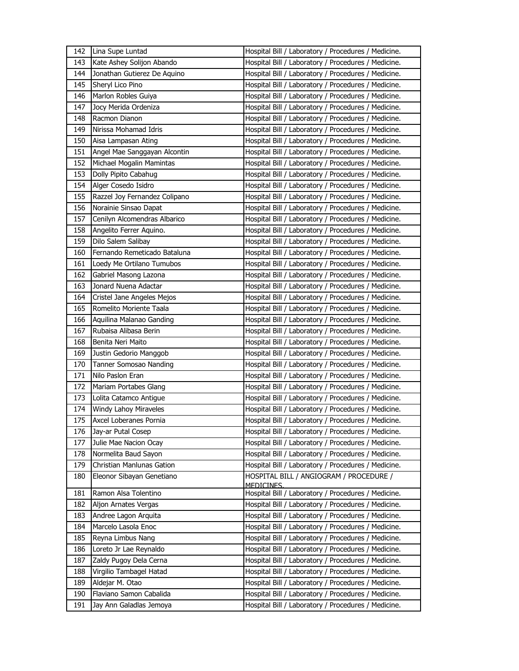| 142 | Lina Supe Luntad              | Hospital Bill / Laboratory / Procedures / Medicine.   |
|-----|-------------------------------|-------------------------------------------------------|
| 143 | Kate Ashey Solijon Abando     | Hospital Bill / Laboratory / Procedures / Medicine.   |
| 144 | Jonathan Gutierez De Aquino   | Hospital Bill / Laboratory / Procedures / Medicine.   |
| 145 | Sheryl Lico Pino              | Hospital Bill / Laboratory / Procedures / Medicine.   |
| 146 | Marlon Robles Guiya           | Hospital Bill / Laboratory / Procedures / Medicine.   |
| 147 | Jocy Merida Ordeniza          | Hospital Bill / Laboratory / Procedures / Medicine.   |
| 148 | Racmon Dianon                 | Hospital Bill / Laboratory / Procedures / Medicine.   |
| 149 | Nirissa Mohamad Idris         | Hospital Bill / Laboratory / Procedures / Medicine.   |
| 150 | Aisa Lampasan Ating           | Hospital Bill / Laboratory / Procedures / Medicine.   |
| 151 | Angel Mae Sanggayan Alcontin  | Hospital Bill / Laboratory / Procedures / Medicine.   |
| 152 | Michael Mogalin Mamintas      | Hospital Bill / Laboratory / Procedures / Medicine.   |
| 153 | Dolly Pipito Cabahug          | Hospital Bill / Laboratory / Procedures / Medicine.   |
| 154 | Alger Cosedo Isidro           | Hospital Bill / Laboratory / Procedures / Medicine.   |
| 155 | Razzel Joy Fernandez Colipano | Hospital Bill / Laboratory / Procedures / Medicine.   |
| 156 | Norainie Sinsao Dapat         | Hospital Bill / Laboratory / Procedures / Medicine.   |
| 157 | Cenilyn Alcomendras Albarico  | Hospital Bill / Laboratory / Procedures / Medicine.   |
| 158 | Angelito Ferrer Aquino.       | Hospital Bill / Laboratory / Procedures / Medicine.   |
| 159 | Dilo Salem Salibay            | Hospital Bill / Laboratory / Procedures / Medicine.   |
| 160 | Fernando Remeticado Bataluna  | Hospital Bill / Laboratory / Procedures / Medicine.   |
| 161 | Loedy Me Ortilano Tumubos     | Hospital Bill / Laboratory / Procedures / Medicine.   |
| 162 | Gabriel Masong Lazona         | Hospital Bill / Laboratory / Procedures / Medicine.   |
| 163 | Jonard Nuena Adactar          | Hospital Bill / Laboratory / Procedures / Medicine.   |
| 164 | Cristel Jane Angeles Mejos    | Hospital Bill / Laboratory / Procedures / Medicine.   |
| 165 | Romelito Moriente Taala       | Hospital Bill / Laboratory / Procedures / Medicine.   |
| 166 | Aquilina Malanao Ganding      | Hospital Bill / Laboratory / Procedures / Medicine.   |
| 167 | Rubaisa Alibasa Berin         | Hospital Bill / Laboratory / Procedures / Medicine.   |
| 168 | Benita Neri Maito             | Hospital Bill / Laboratory / Procedures / Medicine.   |
| 169 | Justin Gedorio Manggob        | Hospital Bill / Laboratory / Procedures / Medicine.   |
| 170 | Tanner Somosao Nanding        | Hospital Bill / Laboratory / Procedures / Medicine.   |
| 171 | Nilo Paslon Eran              | Hospital Bill / Laboratory / Procedures / Medicine.   |
| 172 | Mariam Portabes Glang         | Hospital Bill / Laboratory / Procedures / Medicine.   |
| 173 | Lolita Catamco Antigue        | Hospital Bill / Laboratory / Procedures / Medicine.   |
| 174 | Windy Lahoy Miraveles         | Hospital Bill / Laboratory / Procedures / Medicine.   |
| 175 | Axcel Loberanes Pornia        | Hospital Bill / Laboratory / Procedures / Medicine.   |
| 176 | Jay-ar Putal Cosep            | Hospital Bill / Laboratory / Procedures / Medicine.   |
| 177 | Julie Mae Nacion Ocay         | Hospital Bill / Laboratory / Procedures / Medicine.   |
| 178 | Normelita Baud Sayon          | Hospital Bill / Laboratory / Procedures / Medicine.   |
| 179 | Christian Manlunas Gation     | Hospital Bill / Laboratory / Procedures / Medicine.   |
| 180 | Eleonor Sibayan Genetiano     | HOSPITAL BILL / ANGIOGRAM / PROCEDURE /<br>MEDICINES. |
| 181 | Ramon Alsa Tolentino          | Hospital Bill / Laboratory / Procedures / Medicine.   |
| 182 | Aljon Arnates Vergas          | Hospital Bill / Laboratory / Procedures / Medicine.   |
| 183 | Andree Lagon Arquita          | Hospital Bill / Laboratory / Procedures / Medicine.   |
| 184 | Marcelo Lasola Enoc           | Hospital Bill / Laboratory / Procedures / Medicine.   |
| 185 | Reyna Limbus Nang             | Hospital Bill / Laboratory / Procedures / Medicine.   |
| 186 | Loreto Jr Lae Reynaldo        | Hospital Bill / Laboratory / Procedures / Medicine.   |
| 187 | Zaldy Pugoy Dela Cerna        | Hospital Bill / Laboratory / Procedures / Medicine.   |
| 188 | Virgilio Tambagel Hatad       | Hospital Bill / Laboratory / Procedures / Medicine.   |
| 189 | Aldejar M. Otao               | Hospital Bill / Laboratory / Procedures / Medicine.   |
| 190 | Flaviano Samon Cabalida       | Hospital Bill / Laboratory / Procedures / Medicine.   |
| 191 | Jay Ann Galadlas Jemoya       | Hospital Bill / Laboratory / Procedures / Medicine.   |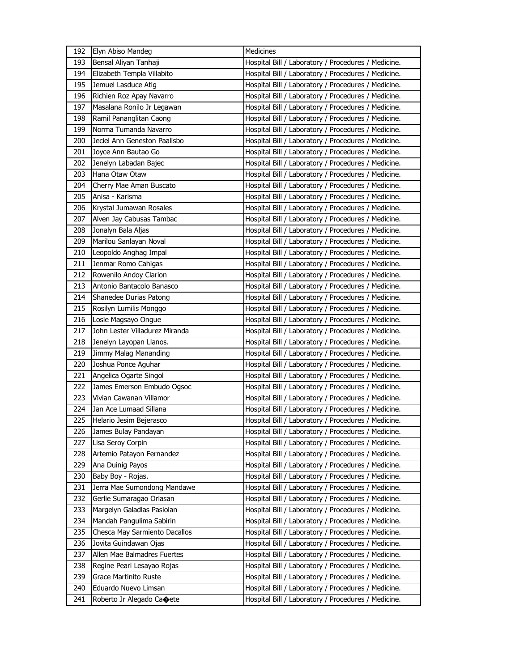| 192 | Elyn Abiso Mandeg              | Medicines                                           |
|-----|--------------------------------|-----------------------------------------------------|
| 193 | Bensal Aliyan Tanhaji          | Hospital Bill / Laboratory / Procedures / Medicine. |
| 194 | Elizabeth Templa Villabito     | Hospital Bill / Laboratory / Procedures / Medicine. |
| 195 | Jemuel Lasduce Atig            | Hospital Bill / Laboratory / Procedures / Medicine. |
| 196 | Richien Roz Apay Navarro       | Hospital Bill / Laboratory / Procedures / Medicine. |
| 197 | Masalana Ronilo Jr Legawan     | Hospital Bill / Laboratory / Procedures / Medicine. |
| 198 | Ramil Pananglitan Caong        | Hospital Bill / Laboratory / Procedures / Medicine. |
| 199 | Norma Tumanda Navarro          | Hospital Bill / Laboratory / Procedures / Medicine. |
| 200 | Jeciel Ann Geneston Paalisbo   | Hospital Bill / Laboratory / Procedures / Medicine. |
| 201 | Joyce Ann Bautao Go            | Hospital Bill / Laboratory / Procedures / Medicine. |
| 202 | Jenelyn Labadan Bajec          | Hospital Bill / Laboratory / Procedures / Medicine. |
| 203 | Hana Otaw Otaw                 | Hospital Bill / Laboratory / Procedures / Medicine. |
| 204 | Cherry Mae Aman Buscato        | Hospital Bill / Laboratory / Procedures / Medicine. |
| 205 | Anisa - Karisma                | Hospital Bill / Laboratory / Procedures / Medicine. |
| 206 | Krystal Jumawan Rosales        | Hospital Bill / Laboratory / Procedures / Medicine. |
| 207 | Alven Jay Cabusas Tambac       | Hospital Bill / Laboratory / Procedures / Medicine. |
| 208 | Jonalyn Bala Aljas             | Hospital Bill / Laboratory / Procedures / Medicine. |
| 209 | Marilou Sanlayan Noval         | Hospital Bill / Laboratory / Procedures / Medicine. |
| 210 | Leopoldo Anghag Impal          | Hospital Bill / Laboratory / Procedures / Medicine. |
| 211 | Jenmar Romo Cahigas            | Hospital Bill / Laboratory / Procedures / Medicine. |
| 212 | Rowenilo Andoy Clarion         | Hospital Bill / Laboratory / Procedures / Medicine. |
| 213 | Antonio Bantacolo Banasco      | Hospital Bill / Laboratory / Procedures / Medicine. |
| 214 | Shanedee Durias Patong         | Hospital Bill / Laboratory / Procedures / Medicine. |
| 215 | Rosilyn Lumilis Monggo         | Hospital Bill / Laboratory / Procedures / Medicine. |
| 216 | Losie Magsayo Ongue            | Hospital Bill / Laboratory / Procedures / Medicine. |
| 217 | John Lester Villadurez Miranda | Hospital Bill / Laboratory / Procedures / Medicine. |
| 218 | Jenelyn Layopan Llanos.        | Hospital Bill / Laboratory / Procedures / Medicine. |
| 219 | Jimmy Malag Mananding          | Hospital Bill / Laboratory / Procedures / Medicine. |
| 220 | Joshua Ponce Aguhar            | Hospital Bill / Laboratory / Procedures / Medicine. |
| 221 | Angelica Ogarte Singol         | Hospital Bill / Laboratory / Procedures / Medicine. |
| 222 | James Emerson Embudo Ogsoc     | Hospital Bill / Laboratory / Procedures / Medicine. |
| 223 | Vivian Cawanan Villamor        | Hospital Bill / Laboratory / Procedures / Medicine. |
| 224 | Jan Ace Lumaad Sillana         | Hospital Bill / Laboratory / Procedures / Medicine. |
| 225 | Helario Jesim Bejerasco        | Hospital Bill / Laboratory / Procedures / Medicine. |
| 226 | James Bulay Pandayan           | Hospital Bill / Laboratory / Procedures / Medicine. |
| 227 | Lisa Seroy Corpin              | Hospital Bill / Laboratory / Procedures / Medicine. |
| 228 | Artemio Patayon Fernandez      | Hospital Bill / Laboratory / Procedures / Medicine. |
| 229 | Ana Duinig Payos               | Hospital Bill / Laboratory / Procedures / Medicine. |
| 230 | Baby Boy - Rojas.              | Hospital Bill / Laboratory / Procedures / Medicine. |
| 231 | Jerra Mae Sumondong Mandawe    | Hospital Bill / Laboratory / Procedures / Medicine. |
| 232 | Gerlie Sumaragao Orlasan       | Hospital Bill / Laboratory / Procedures / Medicine. |
| 233 | Margelyn Galadlas Pasiolan     | Hospital Bill / Laboratory / Procedures / Medicine. |
| 234 | Mandah Pangulima Sabirin       | Hospital Bill / Laboratory / Procedures / Medicine. |
| 235 | Chesca May Sarmiento Dacallos  | Hospital Bill / Laboratory / Procedures / Medicine. |
| 236 | Jovita Guindawan Ojas          | Hospital Bill / Laboratory / Procedures / Medicine. |
| 237 | Allen Mae Balmadres Fuertes    | Hospital Bill / Laboratory / Procedures / Medicine. |
| 238 | Regine Pearl Lesayao Rojas     | Hospital Bill / Laboratory / Procedures / Medicine. |
| 239 | Grace Martinito Ruste          | Hospital Bill / Laboratory / Procedures / Medicine. |
| 240 | Eduardo Nuevo Limsan           | Hospital Bill / Laboratory / Procedures / Medicine. |
| 241 | Roberto Jr Alegado Caoete      | Hospital Bill / Laboratory / Procedures / Medicine. |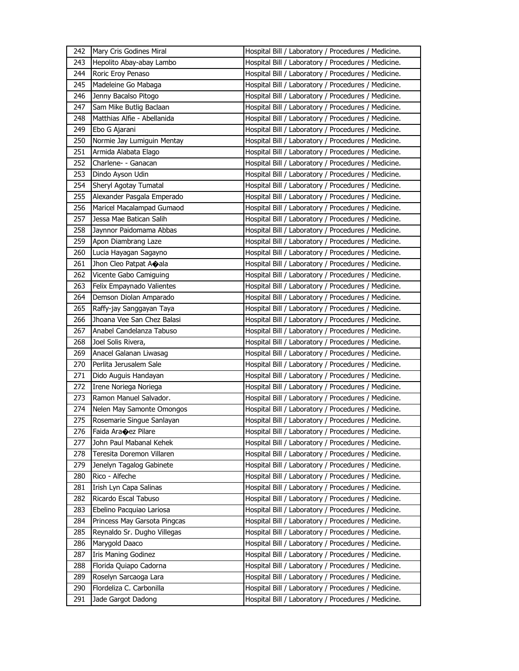| 242 | Mary Cris Godines Miral        | Hospital Bill / Laboratory / Procedures / Medicine. |
|-----|--------------------------------|-----------------------------------------------------|
| 243 | Hepolito Abay-abay Lambo       | Hospital Bill / Laboratory / Procedures / Medicine. |
| 244 | Roric Eroy Penaso              | Hospital Bill / Laboratory / Procedures / Medicine. |
| 245 | Madeleine Go Mabaga            | Hospital Bill / Laboratory / Procedures / Medicine. |
| 246 | Jenny Bacalso Pitogo           | Hospital Bill / Laboratory / Procedures / Medicine. |
| 247 | Sam Mike Butlig Baclaan        | Hospital Bill / Laboratory / Procedures / Medicine. |
| 248 | Matthias Alfie - Abellanida    | Hospital Bill / Laboratory / Procedures / Medicine. |
| 249 | Ebo G Ajarani                  | Hospital Bill / Laboratory / Procedures / Medicine. |
| 250 | Normie Jay Lumiguin Mentay     | Hospital Bill / Laboratory / Procedures / Medicine. |
| 251 | Armida Alabata Elago           | Hospital Bill / Laboratory / Procedures / Medicine. |
| 252 | Charlene- - Ganacan            | Hospital Bill / Laboratory / Procedures / Medicine. |
| 253 | Dindo Ayson Udin               | Hospital Bill / Laboratory / Procedures / Medicine. |
| 254 | Sheryl Agotay Tumatal          | Hospital Bill / Laboratory / Procedures / Medicine. |
| 255 | Alexander Pasgala Emperado     | Hospital Bill / Laboratory / Procedures / Medicine. |
| 256 | Maricel Macalampad Gumaod      | Hospital Bill / Laboratory / Procedures / Medicine. |
| 257 | Jessa Mae Batican Salih        | Hospital Bill / Laboratory / Procedures / Medicine. |
| 258 | Jaynnor Paidomama Abbas        | Hospital Bill / Laboratory / Procedures / Medicine. |
| 259 | Apon Diambrang Laze            | Hospital Bill / Laboratory / Procedures / Medicine. |
| 260 | Lucia Hayagan Sagayno          | Hospital Bill / Laboratory / Procedures / Medicine. |
| 261 | Jhon Cleo Patpat Aoala         | Hospital Bill / Laboratory / Procedures / Medicine. |
| 262 | Vicente Gabo Camiguing         | Hospital Bill / Laboratory / Procedures / Medicine. |
| 263 | Felix Empaynado Valientes      | Hospital Bill / Laboratory / Procedures / Medicine. |
| 264 | Demson Diolan Amparado         | Hospital Bill / Laboratory / Procedures / Medicine. |
| 265 | Raffy-jay Sanggayan Taya       | Hospital Bill / Laboratory / Procedures / Medicine. |
| 266 | Jhoana Vee San Chez Balasi     | Hospital Bill / Laboratory / Procedures / Medicine. |
| 267 | Anabel Candelanza Tabuso       | Hospital Bill / Laboratory / Procedures / Medicine. |
| 268 | Joel Solis Rivera,             | Hospital Bill / Laboratory / Procedures / Medicine. |
| 269 | Anacel Galanan Liwasag         | Hospital Bill / Laboratory / Procedures / Medicine. |
| 270 | Perlita Jerusalem Sale         | Hospital Bill / Laboratory / Procedures / Medicine. |
| 271 | Dido Auguis Handayan           | Hospital Bill / Laboratory / Procedures / Medicine. |
| 272 | Irene Noriega Noriega          | Hospital Bill / Laboratory / Procedures / Medicine. |
| 273 | Ramon Manuel Salvador.         | Hospital Bill / Laboratory / Procedures / Medicine. |
| 274 | Nelen May Samonte Omongos      | Hospital Bill / Laboratory / Procedures / Medicine. |
| 275 | Rosemarie Singue Sanlayan      | Hospital Bill / Laboratory / Procedures / Medicine. |
| 276 | Faida Ara $\bigcirc$ ez Pilare | Hospital Bill / Laboratory / Procedures / Medicine. |
| 277 | John Paul Mabanal Kehek        | Hospital Bill / Laboratory / Procedures / Medicine. |
| 278 | Teresita Doremon Villaren      | Hospital Bill / Laboratory / Procedures / Medicine. |
| 279 | Jenelyn Tagalog Gabinete       | Hospital Bill / Laboratory / Procedures / Medicine. |
| 280 | Rico - Alfeche                 | Hospital Bill / Laboratory / Procedures / Medicine. |
| 281 | Irish Lyn Capa Salinas         | Hospital Bill / Laboratory / Procedures / Medicine. |
| 282 | Ricardo Escal Tabuso           | Hospital Bill / Laboratory / Procedures / Medicine. |
| 283 | Ebelino Pacquiao Lariosa       | Hospital Bill / Laboratory / Procedures / Medicine. |
| 284 | Princess May Garsota Pingcas   | Hospital Bill / Laboratory / Procedures / Medicine. |
| 285 | Reynaldo Sr. Dugho Villegas    | Hospital Bill / Laboratory / Procedures / Medicine. |
| 286 | Marygold Daaco                 | Hospital Bill / Laboratory / Procedures / Medicine. |
| 287 | Iris Maning Godinez            | Hospital Bill / Laboratory / Procedures / Medicine. |
| 288 | Florida Quiapo Cadorna         | Hospital Bill / Laboratory / Procedures / Medicine. |
| 289 | Roselyn Sarcaoga Lara          | Hospital Bill / Laboratory / Procedures / Medicine. |
| 290 | Flordeliza C. Carbonilla       | Hospital Bill / Laboratory / Procedures / Medicine. |
| 291 | Jade Gargot Dadong             | Hospital Bill / Laboratory / Procedures / Medicine. |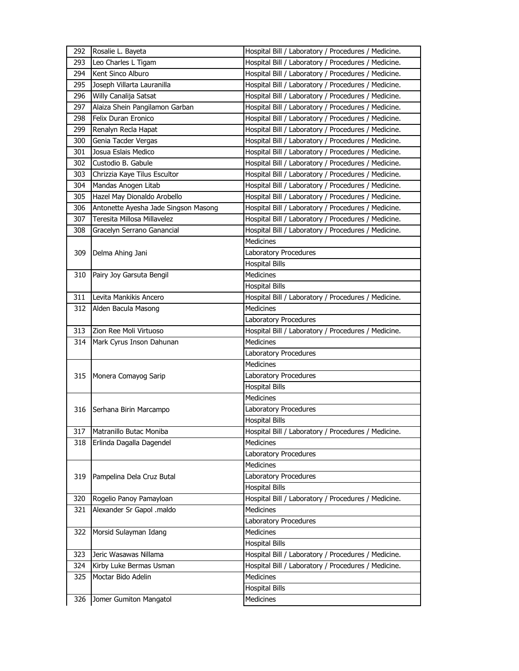| 292 | Rosalie L. Bayeta                    | Hospital Bill / Laboratory / Procedures / Medicine. |
|-----|--------------------------------------|-----------------------------------------------------|
| 293 | Leo Charles L Tigam                  | Hospital Bill / Laboratory / Procedures / Medicine. |
| 294 | Kent Sinco Alburo                    | Hospital Bill / Laboratory / Procedures / Medicine. |
| 295 | Joseph Villarta Lauranilla           | Hospital Bill / Laboratory / Procedures / Medicine. |
| 296 | Willy Canalija Satsat                | Hospital Bill / Laboratory / Procedures / Medicine. |
| 297 | Alaiza Shein Pangilamon Garban       | Hospital Bill / Laboratory / Procedures / Medicine. |
| 298 | Felix Duran Eronico                  | Hospital Bill / Laboratory / Procedures / Medicine. |
| 299 | Renalyn Recla Hapat                  | Hospital Bill / Laboratory / Procedures / Medicine. |
| 300 | Genia Tacder Vergas                  | Hospital Bill / Laboratory / Procedures / Medicine. |
| 301 | Josua Eslais Medico                  | Hospital Bill / Laboratory / Procedures / Medicine. |
| 302 | Custodio B. Gabule                   | Hospital Bill / Laboratory / Procedures / Medicine. |
| 303 | Chrizzia Kaye Tilus Escultor         | Hospital Bill / Laboratory / Procedures / Medicine. |
| 304 | Mandas Anogen Litab                  | Hospital Bill / Laboratory / Procedures / Medicine. |
| 305 | Hazel May Dionaldo Arobello          | Hospital Bill / Laboratory / Procedures / Medicine. |
| 306 | Antonette Ayesha Jade Singson Masong | Hospital Bill / Laboratory / Procedures / Medicine. |
| 307 | Teresita Millosa Millavelez          | Hospital Bill / Laboratory / Procedures / Medicine. |
| 308 | Gracelyn Serrano Ganancial           | Hospital Bill / Laboratory / Procedures / Medicine. |
|     |                                      | <b>Medicines</b>                                    |
| 309 | Delma Ahing Jani                     | Laboratory Procedures                               |
|     |                                      | <b>Hospital Bills</b>                               |
| 310 | Pairy Joy Garsuta Bengil             | Medicines                                           |
|     |                                      | <b>Hospital Bills</b>                               |
| 311 | Levita Mankikis Ancero               | Hospital Bill / Laboratory / Procedures / Medicine. |
| 312 | Alden Bacula Masong                  | <b>Medicines</b>                                    |
|     |                                      | Laboratory Procedures                               |
| 313 | Zion Ree Moli Virtuoso               | Hospital Bill / Laboratory / Procedures / Medicine. |
| 314 | Mark Cyrus Inson Dahunan             | Medicines                                           |
|     |                                      | Laboratory Procedures                               |
|     |                                      | <b>Medicines</b>                                    |
| 315 | Monera Comayog Sarip                 | Laboratory Procedures                               |
|     |                                      | <b>Hospital Bills</b>                               |
|     |                                      | <b>Medicines</b>                                    |
| 316 | Serhana Birin Marcampo               | Laboratory Procedures                               |
|     |                                      | <b>Hospital Bills</b>                               |
| 317 | Matranillo Butac Moniba              | Hospital Bill / Laboratory / Procedures / Medicine. |
| 318 | Erlinda Dagalla Dagendel             | Medicines                                           |
|     |                                      | Laboratory Procedures                               |
|     |                                      | <b>Medicines</b>                                    |
| 319 | Pampelina Dela Cruz Butal            | Laboratory Procedures                               |
|     |                                      | <b>Hospital Bills</b>                               |
| 320 | Rogelio Panoy Pamayloan              | Hospital Bill / Laboratory / Procedures / Medicine. |
| 321 | Alexander Sr Gapol .maldo            | <b>Medicines</b>                                    |
|     |                                      | Laboratory Procedures                               |
| 322 | Morsid Sulayman Idang                | Medicines                                           |
|     |                                      | <b>Hospital Bills</b>                               |
| 323 | Jeric Wasawas Nillama                | Hospital Bill / Laboratory / Procedures / Medicine. |
| 324 | Kirby Luke Bermas Usman              | Hospital Bill / Laboratory / Procedures / Medicine. |
| 325 | Moctar Bido Adelin                   | Medicines                                           |
|     |                                      | <b>Hospital Bills</b>                               |
| 326 | Jomer Gumiton Mangatol               | Medicines                                           |
|     |                                      |                                                     |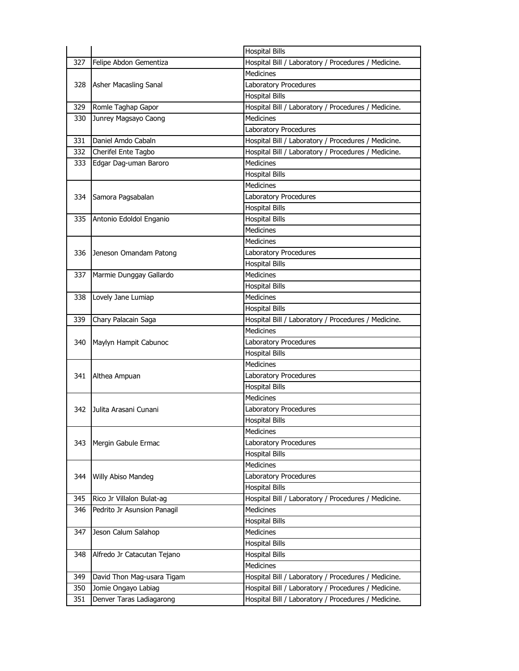|     |                             | <b>Hospital Bills</b>                               |
|-----|-----------------------------|-----------------------------------------------------|
| 327 | Felipe Abdon Gementiza      | Hospital Bill / Laboratory / Procedures / Medicine. |
|     |                             | <b>Medicines</b>                                    |
| 328 | Asher Macasling Sanal       | Laboratory Procedures                               |
|     |                             | <b>Hospital Bills</b>                               |
| 329 | Romle Taghap Gapor          | Hospital Bill / Laboratory / Procedures / Medicine. |
| 330 | Junrey Magsayo Caong        | <b>Medicines</b>                                    |
|     |                             | Laboratory Procedures                               |
| 331 | Daniel Amdo Cabaln          | Hospital Bill / Laboratory / Procedures / Medicine. |
| 332 | Cherifel Ente Tagbo         | Hospital Bill / Laboratory / Procedures / Medicine. |
| 333 | Edgar Dag-uman Baroro       | <b>Medicines</b>                                    |
|     |                             | <b>Hospital Bills</b>                               |
|     |                             | <b>Medicines</b>                                    |
| 334 | Samora Pagsabalan           | Laboratory Procedures                               |
|     |                             | <b>Hospital Bills</b>                               |
| 335 | Antonio Edoldol Enganio     | <b>Hospital Bills</b>                               |
|     |                             | <b>Medicines</b>                                    |
|     |                             | <b>Medicines</b>                                    |
| 336 | Jeneson Omandam Patong      | Laboratory Procedures                               |
|     |                             | <b>Hospital Bills</b>                               |
| 337 | Marmie Dunggay Gallardo     | <b>Medicines</b>                                    |
|     |                             | <b>Hospital Bills</b>                               |
| 338 | Lovely Jane Lumiap          | <b>Medicines</b>                                    |
|     |                             | <b>Hospital Bills</b>                               |
| 339 | Chary Palacain Saga         | Hospital Bill / Laboratory / Procedures / Medicine. |
|     | Maylyn Hampit Cabunoc       | <b>Medicines</b>                                    |
| 340 |                             | Laboratory Procedures                               |
|     |                             | <b>Hospital Bills</b>                               |
|     |                             | <b>Medicines</b>                                    |
| 341 | Althea Ampuan               | Laboratory Procedures                               |
|     |                             | <b>Hospital Bills</b>                               |
|     | Julita Arasani Cunani       | <b>Medicines</b>                                    |
| 342 |                             | Laboratory Procedures                               |
|     |                             | <b>Hospital Bills</b>                               |
|     |                             | <b>Medicines</b>                                    |
| 343 | Mergin Gabule Ermac         | Laboratory Procedures                               |
|     |                             | <b>Hospital Bills</b>                               |
|     |                             | <b>Medicines</b>                                    |
| 344 | Willy Abiso Mandeg          | Laboratory Procedures                               |
|     |                             | <b>Hospital Bills</b>                               |
| 345 | Rico Jr Villalon Bulat-ag   | Hospital Bill / Laboratory / Procedures / Medicine. |
| 346 | Pedrito Jr Asunsion Panagil | <b>Medicines</b>                                    |
|     |                             | <b>Hospital Bills</b>                               |
| 347 | Jeson Calum Salahop         | Medicines                                           |
|     |                             | <b>Hospital Bills</b>                               |
| 348 | Alfredo Jr Catacutan Tejano | <b>Hospital Bills</b>                               |
|     |                             | Medicines                                           |
| 349 | David Thon Mag-usara Tigam  | Hospital Bill / Laboratory / Procedures / Medicine. |
| 350 | Jomie Ongayo Labiag         | Hospital Bill / Laboratory / Procedures / Medicine. |
| 351 | Denver Taras Ladiagarong    | Hospital Bill / Laboratory / Procedures / Medicine. |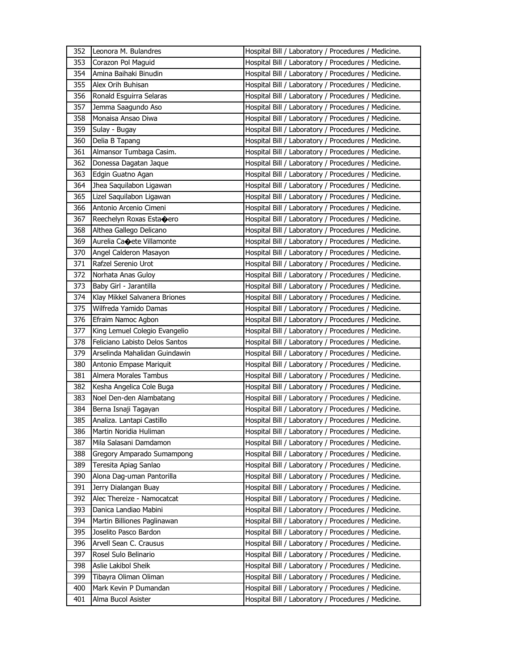| 352 | Leonora M. Bulandres           | Hospital Bill / Laboratory / Procedures / Medicine. |
|-----|--------------------------------|-----------------------------------------------------|
| 353 | Corazon Pol Maguid             | Hospital Bill / Laboratory / Procedures / Medicine. |
| 354 | Amina Baihaki Binudin          | Hospital Bill / Laboratory / Procedures / Medicine. |
| 355 | Alex Orih Buhisan              | Hospital Bill / Laboratory / Procedures / Medicine. |
| 356 | Ronald Esguirra Selaras        | Hospital Bill / Laboratory / Procedures / Medicine. |
| 357 | Jemma Saagundo Aso             | Hospital Bill / Laboratory / Procedures / Medicine. |
| 358 | Monaisa Ansao Diwa             | Hospital Bill / Laboratory / Procedures / Medicine. |
| 359 | Sulay - Bugay                  | Hospital Bill / Laboratory / Procedures / Medicine. |
| 360 | Delia B Tapang                 | Hospital Bill / Laboratory / Procedures / Medicine. |
| 361 | Almansor Tumbaga Casim.        | Hospital Bill / Laboratory / Procedures / Medicine. |
| 362 | Donessa Dagatan Jaque          | Hospital Bill / Laboratory / Procedures / Medicine. |
| 363 | Edgin Guatno Agan              | Hospital Bill / Laboratory / Procedures / Medicine. |
| 364 | Jhea Saquilabon Ligawan        | Hospital Bill / Laboratory / Procedures / Medicine. |
| 365 | Lizel Saquilabon Ligawan       | Hospital Bill / Laboratory / Procedures / Medicine. |
| 366 | Antonio Arcenio Cimeni         | Hospital Bill / Laboratory / Procedures / Medicine. |
| 367 | Reechelyn Roxas Esta�ero       | Hospital Bill / Laboratory / Procedures / Medicine. |
| 368 | Althea Gallego Delicano        | Hospital Bill / Laboratory / Procedures / Medicine. |
| 369 | Aurelia Caoete Villamonte      | Hospital Bill / Laboratory / Procedures / Medicine. |
| 370 | Angel Calderon Masayon         | Hospital Bill / Laboratory / Procedures / Medicine. |
| 371 | Rafzel Serenio Urot            | Hospital Bill / Laboratory / Procedures / Medicine. |
| 372 | Norhata Anas Guloy             | Hospital Bill / Laboratory / Procedures / Medicine. |
| 373 | Baby Girl - Jarantilla         | Hospital Bill / Laboratory / Procedures / Medicine. |
| 374 | Klay Mikkel Salvanera Briones  | Hospital Bill / Laboratory / Procedures / Medicine. |
| 375 | Wilfreda Yamido Damas          | Hospital Bill / Laboratory / Procedures / Medicine. |
| 376 | Efraim Namoc Agbon             | Hospital Bill / Laboratory / Procedures / Medicine. |
| 377 | King Lemuel Colegio Evangelio  | Hospital Bill / Laboratory / Procedures / Medicine. |
| 378 | Feliciano Labisto Delos Santos | Hospital Bill / Laboratory / Procedures / Medicine. |
| 379 | Arselinda Mahalidan Guindawin  | Hospital Bill / Laboratory / Procedures / Medicine. |
| 380 | Antonio Empase Mariquit        | Hospital Bill / Laboratory / Procedures / Medicine. |
| 381 | Almera Morales Tambus          | Hospital Bill / Laboratory / Procedures / Medicine. |
| 382 | Kesha Angelica Cole Buga       | Hospital Bill / Laboratory / Procedures / Medicine. |
| 383 | Noel Den-den Alambatang        | Hospital Bill / Laboratory / Procedures / Medicine. |
| 384 | Berna Isnaji Tagayan           | Hospital Bill / Laboratory / Procedures / Medicine. |
| 385 | Analiza. Lantapi Castillo      | Hospital Bill / Laboratory / Procedures / Medicine. |
| 386 | Martin Noridia Huliman         | Hospital Bill / Laboratory / Procedures / Medicine. |
| 387 | Mila Salasani Damdamon         | Hospital Bill / Laboratory / Procedures / Medicine. |
| 388 | Gregory Amparado Sumampong     | Hospital Bill / Laboratory / Procedures / Medicine. |
| 389 | Teresita Apiag Sanlao          | Hospital Bill / Laboratory / Procedures / Medicine. |
| 390 | Alona Dag-uman Pantorilla      | Hospital Bill / Laboratory / Procedures / Medicine. |
| 391 | Jerry Dialangan Buay           | Hospital Bill / Laboratory / Procedures / Medicine. |
| 392 | Alec Thereize - Namocatcat     | Hospital Bill / Laboratory / Procedures / Medicine. |
| 393 | Danica Landiao Mabini          | Hospital Bill / Laboratory / Procedures / Medicine. |
| 394 | Martin Billiones Paglinawan    | Hospital Bill / Laboratory / Procedures / Medicine. |
| 395 | Joselito Pasco Bardon          | Hospital Bill / Laboratory / Procedures / Medicine. |
| 396 | Arvell Sean C. Crausus         | Hospital Bill / Laboratory / Procedures / Medicine. |
| 397 | Rosel Sulo Belinario           | Hospital Bill / Laboratory / Procedures / Medicine. |
| 398 | Aslie Lakibol Sheik            | Hospital Bill / Laboratory / Procedures / Medicine. |
| 399 | Tibayra Oliman Oliman          | Hospital Bill / Laboratory / Procedures / Medicine. |
| 400 |                                | Hospital Bill / Laboratory / Procedures / Medicine. |
|     | Mark Kevin P Dumandan          |                                                     |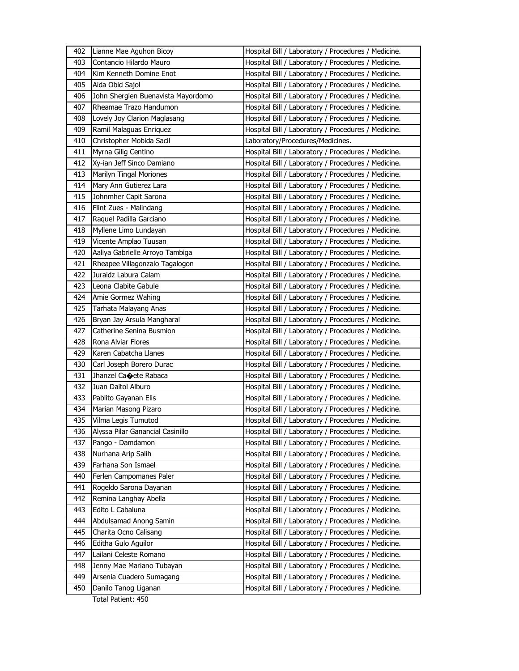| 402 | Lianne Mae Aguhon Bicoy            | Hospital Bill / Laboratory / Procedures / Medicine. |
|-----|------------------------------------|-----------------------------------------------------|
| 403 | Contancio Hilardo Mauro            | Hospital Bill / Laboratory / Procedures / Medicine. |
| 404 | Kim Kenneth Domine Enot            | Hospital Bill / Laboratory / Procedures / Medicine. |
| 405 | Aida Obid Sajol                    | Hospital Bill / Laboratory / Procedures / Medicine. |
| 406 | John Sherglen Buenavista Mayordomo | Hospital Bill / Laboratory / Procedures / Medicine. |
| 407 | Rheamae Trazo Handumon             | Hospital Bill / Laboratory / Procedures / Medicine. |
| 408 | Lovely Joy Clarion Maglasang       | Hospital Bill / Laboratory / Procedures / Medicine. |
| 409 | Ramil Malaguas Enriquez            | Hospital Bill / Laboratory / Procedures / Medicine. |
| 410 | Christopher Mobida Sacil           | Laboratory/Procedures/Medicines.                    |
| 411 | Myrna Gilig Centino                | Hospital Bill / Laboratory / Procedures / Medicine. |
| 412 | Xy-ian Jeff Sinco Damiano          | Hospital Bill / Laboratory / Procedures / Medicine. |
| 413 | Marilyn Tingal Moriones            | Hospital Bill / Laboratory / Procedures / Medicine. |
| 414 | Mary Ann Gutierez Lara             | Hospital Bill / Laboratory / Procedures / Medicine. |
| 415 | Johnmher Capit Sarona              | Hospital Bill / Laboratory / Procedures / Medicine. |
| 416 | Flint Zues - Malindang             | Hospital Bill / Laboratory / Procedures / Medicine. |
| 417 | Raquel Padilla Garciano            | Hospital Bill / Laboratory / Procedures / Medicine. |
| 418 | Myllene Limo Lundayan              | Hospital Bill / Laboratory / Procedures / Medicine. |
| 419 | Vicente Amplao Tuusan              | Hospital Bill / Laboratory / Procedures / Medicine. |
| 420 | Aaliya Gabrielle Arroyo Tambiga    | Hospital Bill / Laboratory / Procedures / Medicine. |
| 421 | Rheapee Villagonzalo Tagalogon     | Hospital Bill / Laboratory / Procedures / Medicine. |
| 422 | Juraidz Labura Calam               | Hospital Bill / Laboratory / Procedures / Medicine. |
| 423 | Leona Clabite Gabule               | Hospital Bill / Laboratory / Procedures / Medicine. |
| 424 | Amie Gormez Wahing                 | Hospital Bill / Laboratory / Procedures / Medicine. |
| 425 | Tarhata Malayang Anas              | Hospital Bill / Laboratory / Procedures / Medicine. |
| 426 | Bryan Jay Arsula Mangharal         | Hospital Bill / Laboratory / Procedures / Medicine. |
| 427 | Catherine Senina Busmion           | Hospital Bill / Laboratory / Procedures / Medicine. |
| 428 | Rona Alviar Flores                 | Hospital Bill / Laboratory / Procedures / Medicine. |
| 429 | Karen Cabatcha Llanes              | Hospital Bill / Laboratory / Procedures / Medicine. |
| 430 | Carl Joseph Borero Durac           | Hospital Bill / Laboratory / Procedures / Medicine. |
| 431 | Jhanzel Caoete Rabaca              | Hospital Bill / Laboratory / Procedures / Medicine. |
| 432 | Juan Daitol Alburo                 | Hospital Bill / Laboratory / Procedures / Medicine. |
| 433 | Pablito Gayanan Elis               | Hospital Bill / Laboratory / Procedures / Medicine. |
| 434 | Marian Masong Pizaro               | Hospital Bill / Laboratory / Procedures / Medicine. |
| 435 | Vilma Legis Tumutod                | Hospital Bill / Laboratory / Procedures / Medicine. |
| 436 | Alyssa Pilar Ganancial Casinillo   | Hospital Bill / Laboratory / Procedures / Medicine. |
| 437 | Pango - Damdamon                   | Hospital Bill / Laboratory / Procedures / Medicine. |
| 438 | Nurhana Arip Salih                 | Hospital Bill / Laboratory / Procedures / Medicine. |
| 439 | Farhana Son Ismael                 | Hospital Bill / Laboratory / Procedures / Medicine. |
| 440 | Ferlen Campomanes Paler            | Hospital Bill / Laboratory / Procedures / Medicine. |
| 441 | Rogeldo Sarona Dayanan             | Hospital Bill / Laboratory / Procedures / Medicine. |
| 442 | Remina Langhay Abella              | Hospital Bill / Laboratory / Procedures / Medicine. |
| 443 | Edito L Cabaluna                   | Hospital Bill / Laboratory / Procedures / Medicine. |
| 444 | Abdulsamad Anong Samin             | Hospital Bill / Laboratory / Procedures / Medicine. |
| 445 | Charita Ocno Calisang              | Hospital Bill / Laboratory / Procedures / Medicine. |
| 446 | Editha Gulo Aguilor                | Hospital Bill / Laboratory / Procedures / Medicine. |
| 447 | Lailani Celeste Romano             | Hospital Bill / Laboratory / Procedures / Medicine. |
| 448 | Jenny Mae Mariano Tubayan          | Hospital Bill / Laboratory / Procedures / Medicine. |
| 449 | Arsenia Cuadero Sumagang           | Hospital Bill / Laboratory / Procedures / Medicine. |
| 450 | Danilo Tanog Liganan               | Hospital Bill / Laboratory / Procedures / Medicine. |

Total Patient: 450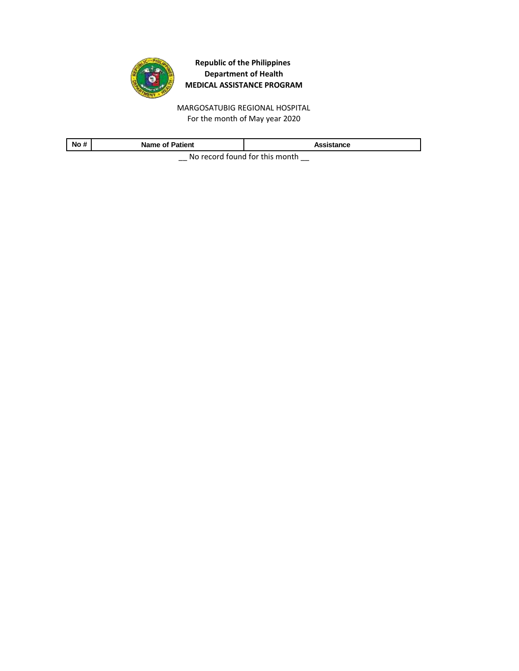

For the month of May year 2020 MARGOSATUBIG REGIONAL HOSPITAL

| No#                                    | <b>Name of Patient</b> | Assistance |  |
|----------------------------------------|------------------------|------------|--|
| No received factoral faithful property |                        |            |  |

 $\equiv$  No record found for this month  $\equiv$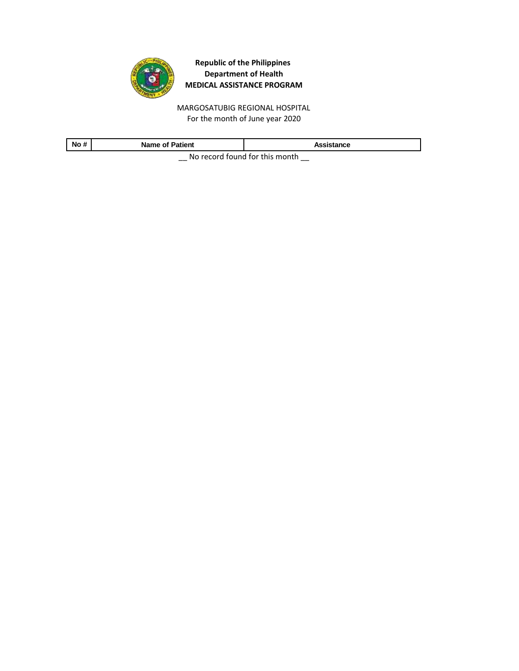

MARGOSATUBIG REGIONAL HOSPITAL For the month of June year 2020

| No #                             | <b>Name of Patient</b> | Assistance |  |
|----------------------------------|------------------------|------------|--|
| Ne recent found for this meanth. |                        |            |  |

 $\equiv$  No record found for this month  $\equiv$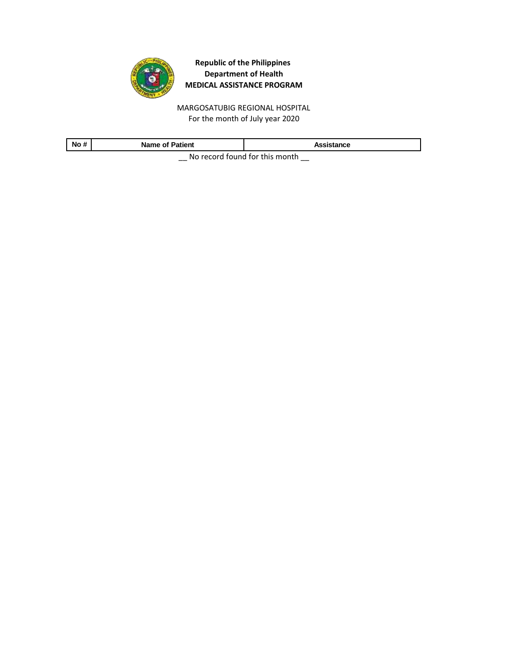

MARGOSATUBIG REGIONAL HOSPITAL For the month of July year 2020

| No #                           | <b>Name of Patient</b> | Assistance |
|--------------------------------|------------------------|------------|
| No rocard found for this month |                        |            |

 $\equiv$  No record found for this month  $\equiv$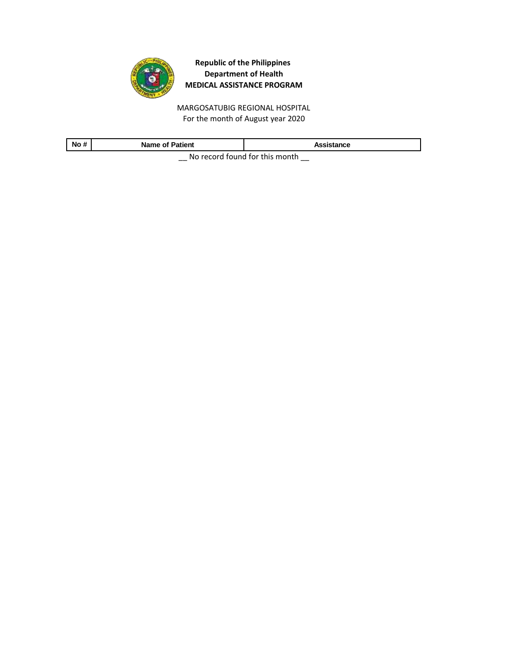

MARGOSATUBIG REGIONAL HOSPITAL For the month of August year 2020

| No#                              | <b>Name of Patient</b> | Assistance |  |
|----------------------------------|------------------------|------------|--|
| No recent found for this meanth. |                        |            |  |

\_\_ No record found for this month \_\_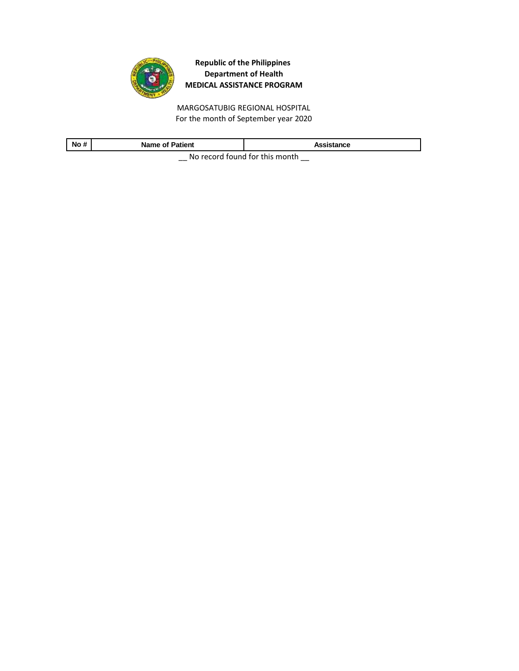

MARGOSATUBIG REGIONAL HOSPITAL For the month of September year 2020

| .<br><b>No</b><br>x.<br>$\boldsymbol{\pi}$ | <b>Name of Patient</b> | Assistance |  |
|--------------------------------------------|------------------------|------------|--|
| Ale as south formed fourth-to-assembly     |                        |            |  |

\_\_ No record found for this month \_\_